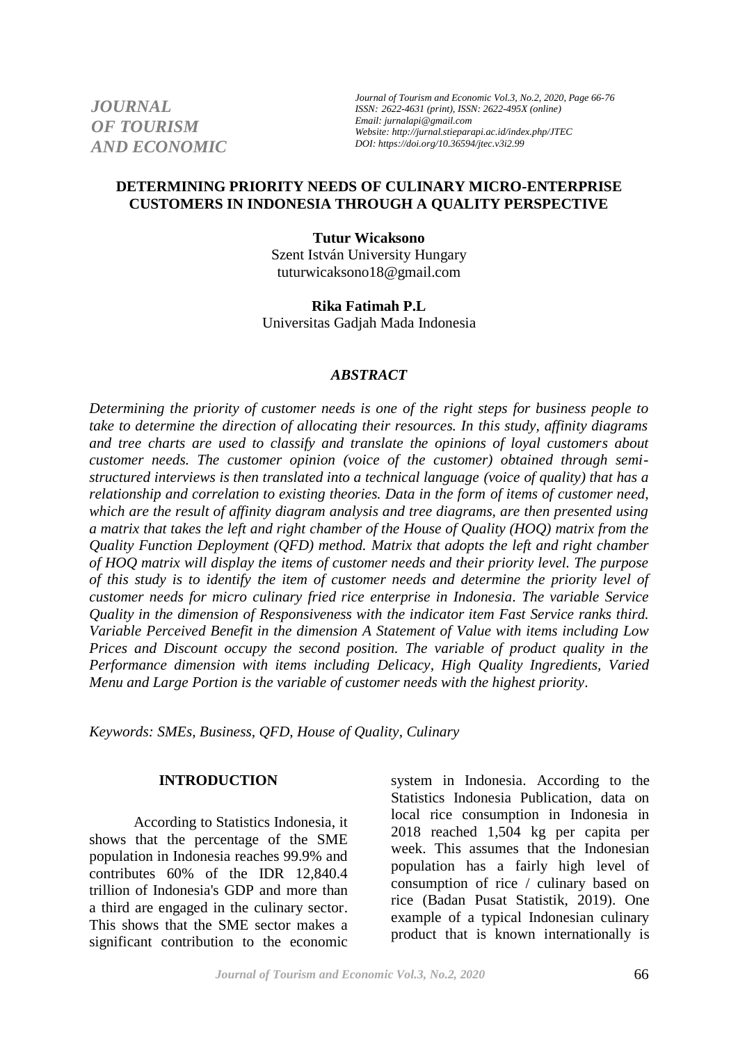*JOURNAL OF TOURISM AND ECONOMIC*

*Journal of Tourism and Economic Vol.3, No.2, 2020, Page 66-76 ISSN: 2622-4631 (print), ISSN: 2622-495X (online) Email: jurnalapi@gmail.com Website: http://jurnal.stieparapi.ac.id/index.php/JTEC DOI: https://doi.org/10.36594/jtec.v3i2.99*

### **DETERMINING PRIORITY NEEDS OF CULINARY MICRO-ENTERPRISE CUSTOMERS IN INDONESIA THROUGH A QUALITY PERSPECTIVE**

**Tutur Wicaksono** Szent István University Hungary tuturwicaksono18@gmail.com

**Rika Fatimah P.L** Universitas Gadjah Mada Indonesia

#### *ABSTRACT*

*Determining the priority of customer needs is one of the right steps for business people to take to determine the direction of allocating their resources. In this study, affinity diagrams and tree charts are used to classify and translate the opinions of loyal customers about customer needs. The customer opinion (voice of the customer) obtained through semistructured interviews is then translated into a technical language (voice of quality) that has a relationship and correlation to existing theories. Data in the form of items of customer need, which are the result of affinity diagram analysis and tree diagrams, are then presented using a matrix that takes the left and right chamber of the House of Quality (HOQ) matrix from the Quality Function Deployment (QFD) method. Matrix that adopts the left and right chamber of HOQ matrix will display the items of customer needs and their priority level. The purpose of this study is to identify the item of customer needs and determine the priority level of customer needs for micro culinary fried rice enterprise in Indonesia. The variable Service Quality in the dimension of Responsiveness with the indicator item Fast Service ranks third. Variable Perceived Benefit in the dimension A Statement of Value with items including Low Prices and Discount occupy the second position. The variable of product quality in the Performance dimension with items including Delicacy, High Quality Ingredients, Varied Menu and Large Portion is the variable of customer needs with the highest priority.* 

*Keywords: SMEs, Business, QFD, House of Quality, Culinary*

### **INTRODUCTION**

According to Statistics Indonesia, it shows that the percentage of the SME population in Indonesia reaches 99.9% and contributes 60% of the IDR 12,840.4 trillion of Indonesia's GDP and more than a third are engaged in the culinary sector. This shows that the SME sector makes a significant contribution to the economic

system in Indonesia. According to the Statistics Indonesia Publication, data on local rice consumption in Indonesia in 2018 reached 1,504 kg per capita per week. This assumes that the Indonesian population has a fairly high level of consumption of rice / culinary based on rice (Badan Pusat Statistik, 2019). One example of a typical Indonesian culinary product that is known internationally is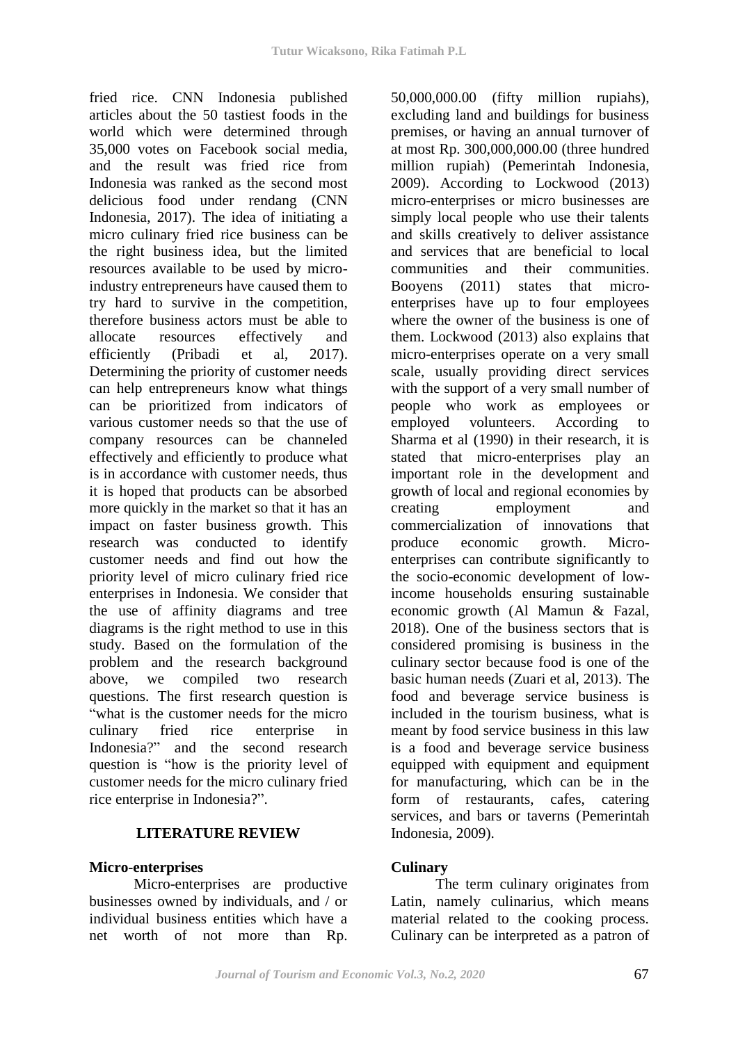fried rice. CNN Indonesia published articles about the 50 tastiest foods in the world which were determined through 35,000 votes on Facebook social media, and the result was fried rice from Indonesia was ranked as the second most delicious food under rendang (CNN Indonesia, 2017). The idea of initiating a micro culinary fried rice business can be the right business idea, but the limited resources available to be used by microindustry entrepreneurs have caused them to try hard to survive in the competition, therefore business actors must be able to allocate resources effectively and efficiently (Pribadi et al, 2017). Determining the priority of customer needs can help entrepreneurs know what things can be prioritized from indicators of various customer needs so that the use of company resources can be channeled effectively and efficiently to produce what is in accordance with customer needs, thus it is hoped that products can be absorbed more quickly in the market so that it has an impact on faster business growth. This research was conducted to identify customer needs and find out how the priority level of micro culinary fried rice enterprises in Indonesia. We consider that the use of affinity diagrams and tree diagrams is the right method to use in this study. Based on the formulation of the problem and the research background above, we compiled two research questions. The first research question is "what is the customer needs for the micro culinary fried rice enterprise in Indonesia?" and the second research question is "how is the priority level of customer needs for the micro culinary fried rice enterprise in Indonesia?".

# **LITERATURE REVIEW**

### **Micro-enterprises**

Micro-enterprises are productive businesses owned by individuals, and / or individual business entities which have a net worth of not more than Rp.

50,000,000.00 (fifty million rupiahs), excluding land and buildings for business premises, or having an annual turnover of at most Rp. 300,000,000.00 (three hundred million rupiah) (Pemerintah Indonesia, 2009). According to Lockwood (2013) micro-enterprises or micro businesses are simply local people who use their talents and skills creatively to deliver assistance and services that are beneficial to local communities and their communities. Booyens (2011) states that microenterprises have up to four employees where the owner of the business is one of them. Lockwood (2013) also explains that micro-enterprises operate on a very small scale, usually providing direct services with the support of a very small number of people who work as employees or employed volunteers. According to Sharma et al (1990) in their research, it is stated that micro-enterprises play an important role in the development and growth of local and regional economies by creating employment and commercialization of innovations that produce economic growth. Microenterprises can contribute significantly to the socio-economic development of lowincome households ensuring sustainable economic growth (Al Mamun & Fazal, 2018). One of the business sectors that is considered promising is business in the culinary sector because food is one of the basic human needs (Zuari et al, 2013). The food and beverage service business is included in the tourism business, what is meant by food service business in this law is a food and beverage service business equipped with equipment and equipment for manufacturing, which can be in the form of restaurants, cafes, catering services, and bars or taverns (Pemerintah Indonesia, 2009).

# **Culinary**

The term culinary originates from Latin, namely culinarius, which means material related to the cooking process. Culinary can be interpreted as a patron of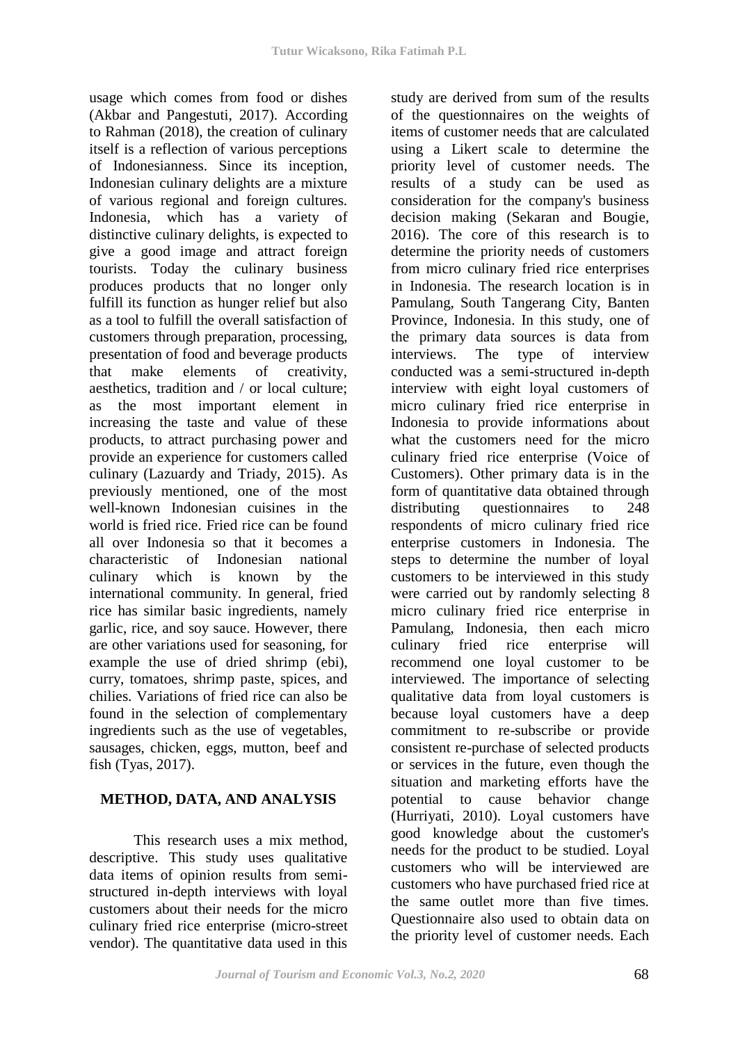usage which comes from food or dishes (Akbar and Pangestuti, 2017). According to Rahman (2018), the creation of culinary itself is a reflection of various perceptions of Indonesianness. Since its inception, Indonesian culinary delights are a mixture of various regional and foreign cultures. Indonesia, which has a variety of distinctive culinary delights, is expected to give a good image and attract foreign tourists. Today the culinary business produces products that no longer only fulfill its function as hunger relief but also as a tool to fulfill the overall satisfaction of customers through preparation, processing, presentation of food and beverage products that make elements of creativity, aesthetics, tradition and / or local culture; as the most important element in increasing the taste and value of these products, to attract purchasing power and provide an experience for customers called culinary (Lazuardy and Triady, 2015). As previously mentioned, one of the most well-known Indonesian cuisines in the world is fried rice. Fried rice can be found all over Indonesia so that it becomes a characteristic of Indonesian national culinary which is known by the international community. In general, fried rice has similar basic ingredients, namely garlic, rice, and soy sauce. However, there are other variations used for seasoning, for example the use of dried shrimp (ebi), curry, tomatoes, shrimp paste, spices, and chilies. Variations of fried rice can also be found in the selection of complementary ingredients such as the use of vegetables, sausages, chicken, eggs, mutton, beef and fish (Tyas, 2017).

# **METHOD, DATA, AND ANALYSIS**

This research uses a mix method, descriptive. This study uses qualitative data items of opinion results from semistructured in-depth interviews with loyal customers about their needs for the micro culinary fried rice enterprise (micro-street vendor). The quantitative data used in this

study are derived from sum of the results of the questionnaires on the weights of items of customer needs that are calculated using a Likert scale to determine the priority level of customer needs. The results of a study can be used as consideration for the company's business decision making (Sekaran and Bougie, 2016). The core of this research is to determine the priority needs of customers from micro culinary fried rice enterprises in Indonesia. The research location is in Pamulang, South Tangerang City, Banten Province, Indonesia. In this study, one of the primary data sources is data from interviews. The type of interview conducted was a semi-structured in-depth interview with eight loyal customers of micro culinary fried rice enterprise in Indonesia to provide informations about what the customers need for the micro culinary fried rice enterprise (Voice of Customers). Other primary data is in the form of quantitative data obtained through distributing questionnaires to 248 respondents of micro culinary fried rice enterprise customers in Indonesia. The steps to determine the number of loyal customers to be interviewed in this study were carried out by randomly selecting 8 micro culinary fried rice enterprise in Pamulang, Indonesia, then each micro culinary fried rice enterprise will recommend one loyal customer to be interviewed. The importance of selecting qualitative data from loyal customers is because loyal customers have a deep commitment to re-subscribe or provide consistent re-purchase of selected products or services in the future, even though the situation and marketing efforts have the potential to cause behavior change (Hurriyati, 2010). Loyal customers have good knowledge about the customer's needs for the product to be studied. Loyal customers who will be interviewed are customers who have purchased fried rice at the same outlet more than five times. Questionnaire also used to obtain data on the priority level of customer needs. Each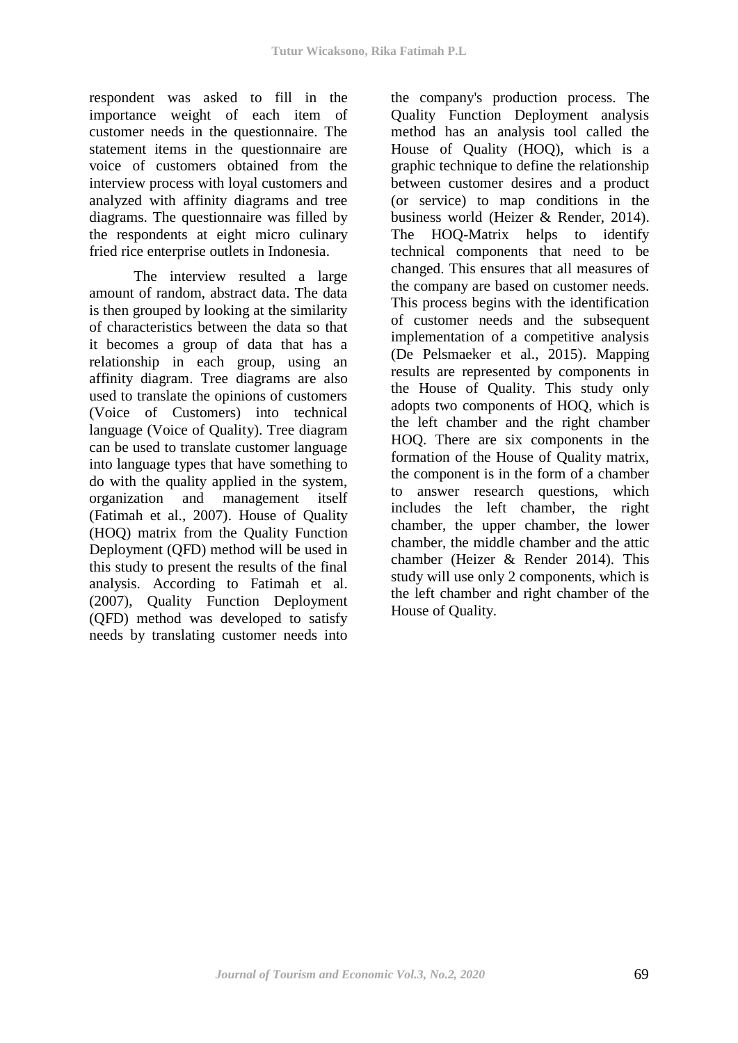respondent was asked to fill in the importance weight of each item of customer needs in the questionnaire. The statement items in the questionnaire are voice of customers obtained from the interview process with loyal customers and analyzed with affinity diagrams and tree diagrams. The questionnaire was filled by the respondents at eight micro culinary fried rice enterprise outlets in Indonesia.

The interview resulted a large amount of random, abstract data. The data is then grouped by looking at the similarity of characteristics between the data so that it becomes a group of data that has a relationship in each group, using an affinity diagram. Tree diagrams are also used to translate the opinions of customers (Voice of Customers) into technical language (Voice of Quality). Tree diagram can be used to translate customer language into language types that have something to do with the quality applied in the system, organization and management itself (Fatimah et al., 2007). House of Quality (HOQ) matrix from the Quality Function Deployment (QFD) method will be used in this study to present the results of the final analysis. According to Fatimah et al. (2007), Quality Function Deployment (QFD) method was developed to satisfy needs by translating customer needs into

the company's production process. The Quality Function Deployment analysis method has an analysis tool called the House of Quality (HOQ), which is a graphic technique to define the relationship between customer desires and a product (or service) to map conditions in the business world (Heizer & Render, 2014). The HOQ-Matrix helps to identify technical components that need to be changed. This ensures that all measures of the company are based on customer needs. This process begins with the identification of customer needs and the subsequent implementation of a competitive analysis (De Pelsmaeker et al., 2015). Mapping results are represented by components in the House of Quality. This study only adopts two components of HOQ, which is the left chamber and the right chamber HOQ. There are six components in the formation of the House of Quality matrix, the component is in the form of a chamber to answer research questions, which includes the left chamber, the right chamber, the upper chamber, the lower chamber, the middle chamber and the attic chamber (Heizer & Render 2014). This study will use only 2 components, which is the left chamber and right chamber of the House of Quality.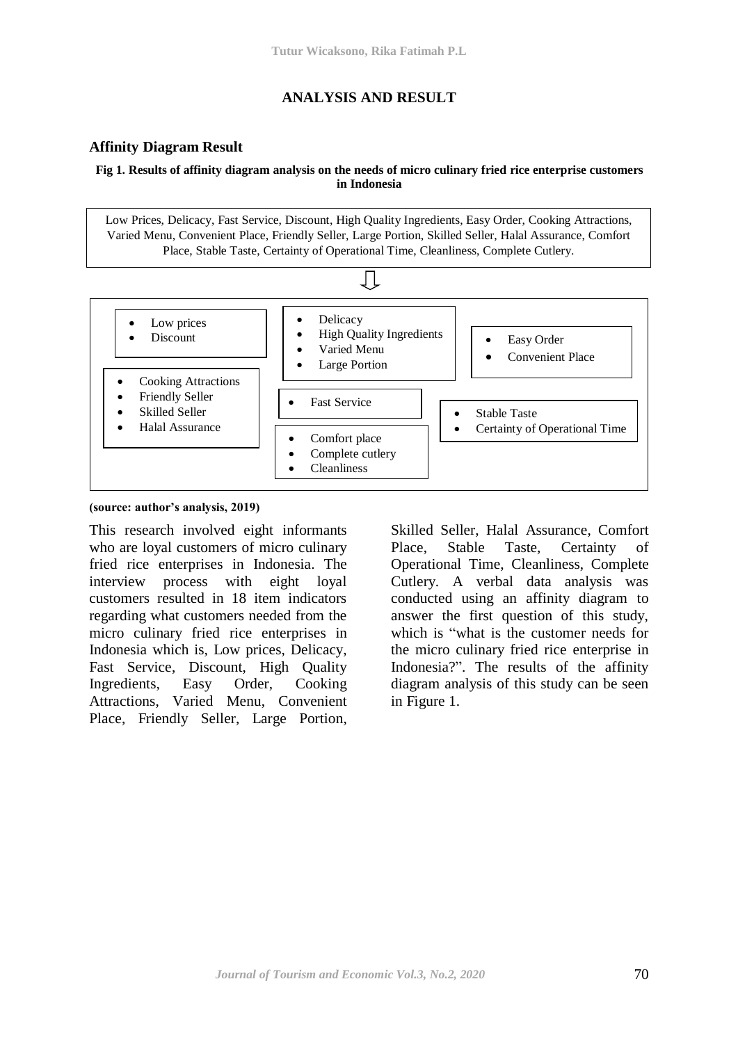# **ANALYSIS AND RESULT**

### **Affinity Diagram Result**

#### **Fig 1. Results of affinity diagram analysis on the needs of micro culinary fried rice enterprise customers in Indonesia**

Low Prices, Delicacy, Fast Service, Discount, High Quality Ingredients, Easy Order, Cooking Attractions, Varied Menu, Convenient Place, Friendly Seller, Large Portion, Skilled Seller, Halal Assurance, Comfort Place, Stable Taste, Certainty of Operational Time, Cleanliness, Complete Cutlery.



#### **(source: author's analysis, 2019)**

This research involved eight informants who are loyal customers of micro culinary fried rice enterprises in Indonesia. The interview process with eight loyal customers resulted in 18 item indicators regarding what customers needed from the micro culinary fried rice enterprises in Indonesia which is, Low prices, Delicacy, Fast Service, Discount, High Quality Ingredients, Easy Order, Cooking Attractions, Varied Menu, Convenient Place, Friendly Seller, Large Portion,

Skilled Seller, Halal Assurance, Comfort Place, Stable Taste, Certainty of Operational Time, Cleanliness, Complete Cutlery. A verbal data analysis was conducted using an affinity diagram to answer the first question of this study, which is "what is the customer needs for the micro culinary fried rice enterprise in Indonesia?". The results of the affinity diagram analysis of this study can be seen in Figure 1.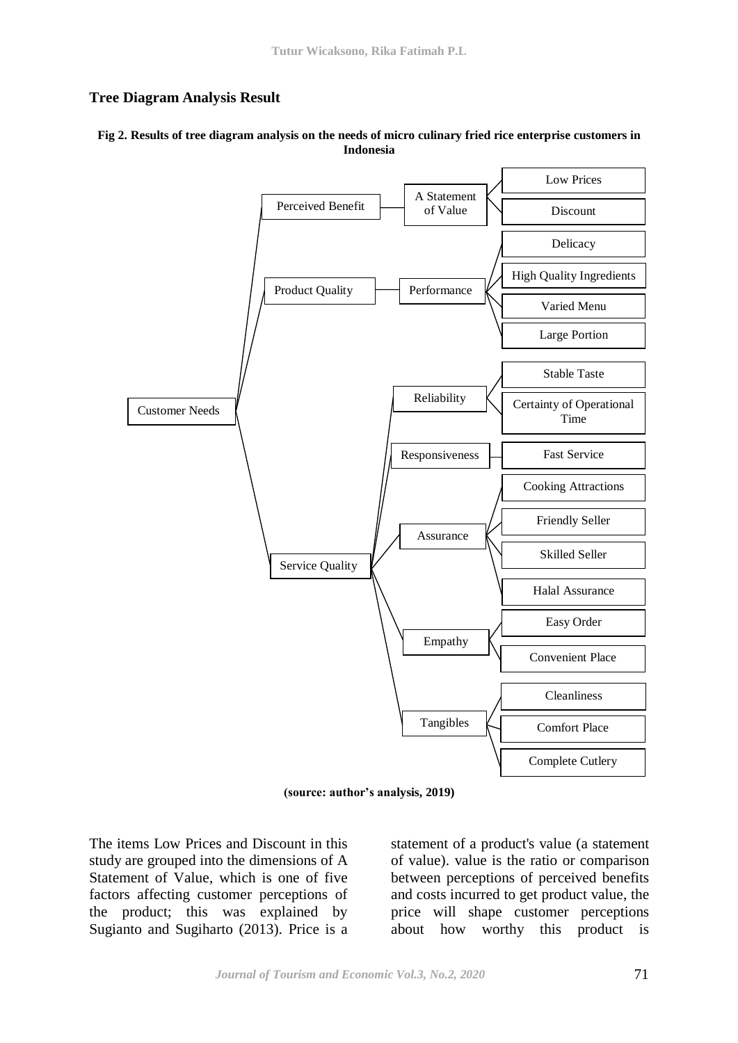### **Tree Diagram Analysis Result**

#### **Fig 2. Results of tree diagram analysis on the needs of micro culinary fried rice enterprise customers in Indonesia**



**(source: author's analysis, 2019)**

The items Low Prices and Discount in this study are grouped into the dimensions of A Statement of Value, which is one of five factors affecting customer perceptions of the product; this was explained by Sugianto and Sugiharto (2013). Price is a statement of a product's value (a statement of value). value is the ratio or comparison between perceptions of perceived benefits and costs incurred to get product value, the price will shape customer perceptions about how worthy this product is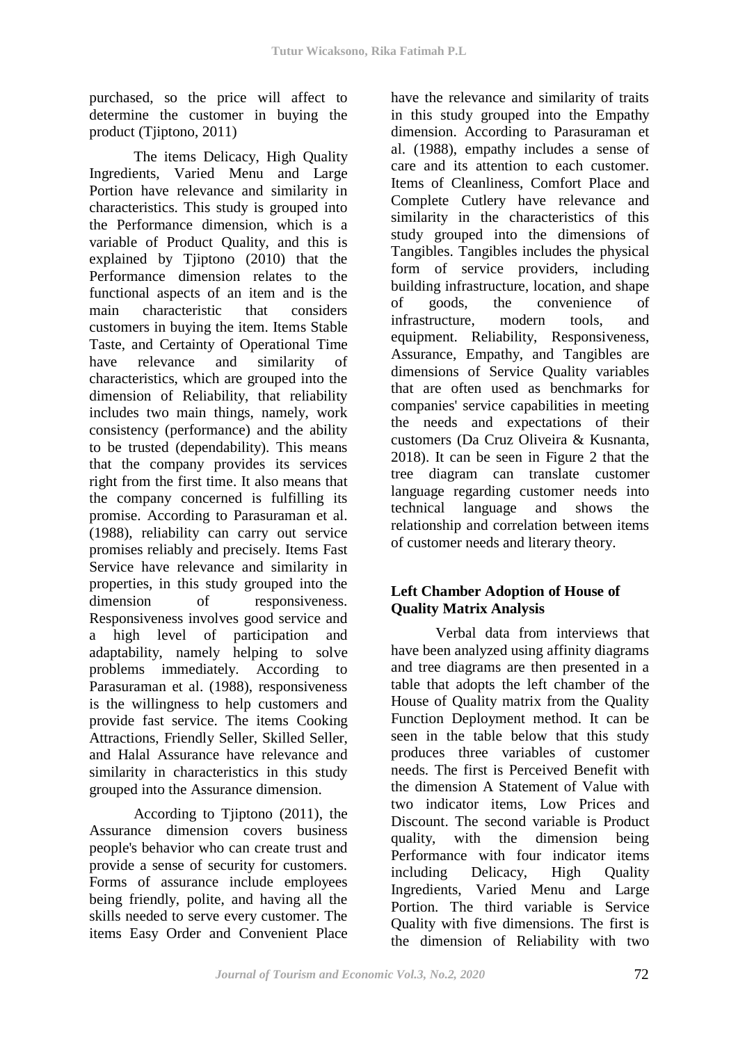purchased, so the price will affect to determine the customer in buying the product (Tjiptono, 2011)

The items Delicacy, High Quality Ingredients, Varied Menu and Large Portion have relevance and similarity in characteristics. This study is grouped into the Performance dimension, which is a variable of Product Quality, and this is explained by Tjiptono (2010) that the Performance dimension relates to the functional aspects of an item and is the main characteristic that considers customers in buying the item. Items Stable Taste, and Certainty of Operational Time have relevance and similarity of characteristics, which are grouped into the dimension of Reliability, that reliability includes two main things, namely, work consistency (performance) and the ability to be trusted (dependability). This means that the company provides its services right from the first time. It also means that the company concerned is fulfilling its promise. According to Parasuraman et al. (1988), reliability can carry out service promises reliably and precisely. Items Fast Service have relevance and similarity in properties, in this study grouped into the dimension of responsiveness. Responsiveness involves good service and a high level of participation and adaptability, namely helping to solve problems immediately. According to Parasuraman et al. (1988), responsiveness is the willingness to help customers and provide fast service. The items Cooking Attractions, Friendly Seller, Skilled Seller, and Halal Assurance have relevance and similarity in characteristics in this study grouped into the Assurance dimension.

According to Tjiptono (2011), the Assurance dimension covers business people's behavior who can create trust and provide a sense of security for customers. Forms of assurance include employees being friendly, polite, and having all the skills needed to serve every customer. The items Easy Order and Convenient Place have the relevance and similarity of traits in this study grouped into the Empathy dimension. According to Parasuraman et al. (1988), empathy includes a sense of care and its attention to each customer. Items of Cleanliness, Comfort Place and Complete Cutlery have relevance and similarity in the characteristics of this study grouped into the dimensions of Tangibles. Tangibles includes the physical form of service providers, including building infrastructure, location, and shape of goods, the convenience of infrastructure, modern tools, and equipment. Reliability, Responsiveness, Assurance, Empathy, and Tangibles are dimensions of Service Quality variables that are often used as benchmarks for companies' service capabilities in meeting the needs and expectations of their customers (Da Cruz Oliveira & Kusnanta, 2018). It can be seen in Figure 2 that the tree diagram can translate customer language regarding customer needs into technical language and shows the relationship and correlation between items of customer needs and literary theory.

# **Left Chamber Adoption of House of Quality Matrix Analysis**

Verbal data from interviews that have been analyzed using affinity diagrams and tree diagrams are then presented in a table that adopts the left chamber of the House of Quality matrix from the Quality Function Deployment method. It can be seen in the table below that this study produces three variables of customer needs. The first is Perceived Benefit with the dimension A Statement of Value with two indicator items, Low Prices and Discount. The second variable is Product quality, with the dimension being Performance with four indicator items including Delicacy, High Quality Ingredients, Varied Menu and Large Portion. The third variable is Service Quality with five dimensions. The first is the dimension of Reliability with two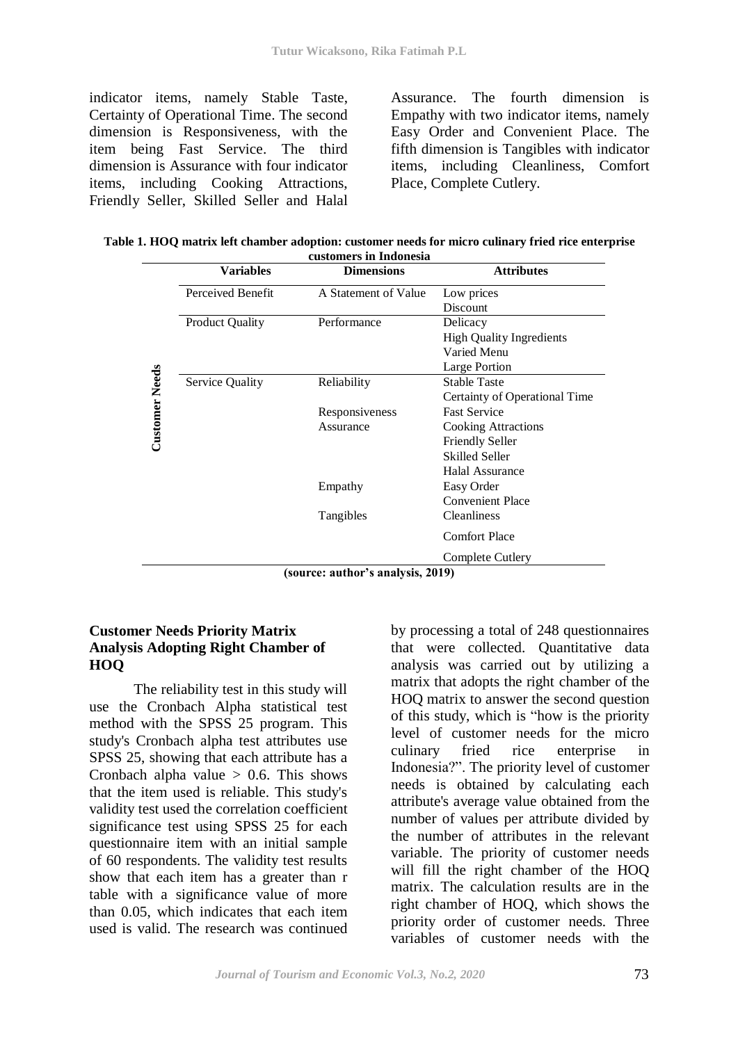indicator items, namely Stable Taste, Certainty of Operational Time. The second dimension is Responsiveness, with the item being Fast Service. The third dimension is Assurance with four indicator items, including Cooking Attractions, Friendly Seller, Skilled Seller and Halal Assurance. The fourth dimension is Empathy with two indicator items, namely Easy Order and Convenient Place. The fifth dimension is Tangibles with indicator items, including Cleanliness, Comfort Place, Complete Cutlery.

| Table 1. HOQ matrix left chamber adoption: customer needs for micro culinary fried rice enterprise |  |  |  |  |  |  |  |
|----------------------------------------------------------------------------------------------------|--|--|--|--|--|--|--|
| customers in Indonesia                                                                             |  |  |  |  |  |  |  |

|                       | Variables              | <b>Dimensions</b>                | <b>Attributes</b>               |
|-----------------------|------------------------|----------------------------------|---------------------------------|
|                       | Perceived Benefit      | A Statement of Value             | Low prices                      |
|                       |                        |                                  | Discount                        |
|                       | <b>Product Quality</b> | Performance                      | Delicacy                        |
| <b>Customer Needs</b> |                        |                                  | <b>High Quality Ingredients</b> |
|                       |                        |                                  | Varied Menu                     |
|                       |                        |                                  | Large Portion                   |
|                       | Service Quality        | Reliability                      | <b>Stable Taste</b>             |
|                       |                        |                                  | Certainty of Operational Time   |
|                       |                        | Responsiveness                   | <b>Fast Service</b>             |
|                       |                        | Assurance                        | <b>Cooking Attractions</b>      |
|                       |                        |                                  | <b>Friendly Seller</b>          |
|                       |                        |                                  | <b>Skilled Seller</b>           |
|                       |                        |                                  | <b>Halal Assurance</b>          |
|                       |                        | Empathy                          | Easy Order                      |
|                       |                        |                                  | <b>Convenient Place</b>         |
|                       |                        | Tangibles                        | <b>Cleanliness</b>              |
|                       |                        |                                  | <b>Comfort Place</b>            |
|                       |                        |                                  | Complete Cutlery                |
|                       |                        | (cource: outhor's analysis 2010) |                                 |

**(source: author's analysis, 2019)** 

# **Customer Needs Priority Matrix Analysis Adopting Right Chamber of HOQ**

The reliability test in this study will use the Cronbach Alpha statistical test method with the SPSS 25 program. This study's Cronbach alpha test attributes use SPSS 25, showing that each attribute has a Cronbach alpha value  $> 0.6$ . This shows that the item used is reliable. This study's validity test used the correlation coefficient significance test using SPSS 25 for each questionnaire item with an initial sample of 60 respondents. The validity test results show that each item has a greater than r table with a significance value of more than 0.05, which indicates that each item used is valid. The research was continued by processing a total of 248 questionnaires that were collected. Quantitative data analysis was carried out by utilizing a matrix that adopts the right chamber of the HOQ matrix to answer the second question of this study, which is "how is the priority level of customer needs for the micro culinary fried rice enterprise in Indonesia?". The priority level of customer needs is obtained by calculating each attribute's average value obtained from the number of values per attribute divided by the number of attributes in the relevant variable. The priority of customer needs will fill the right chamber of the HOQ matrix. The calculation results are in the right chamber of HOQ, which shows the priority order of customer needs. Three variables of customer needs with the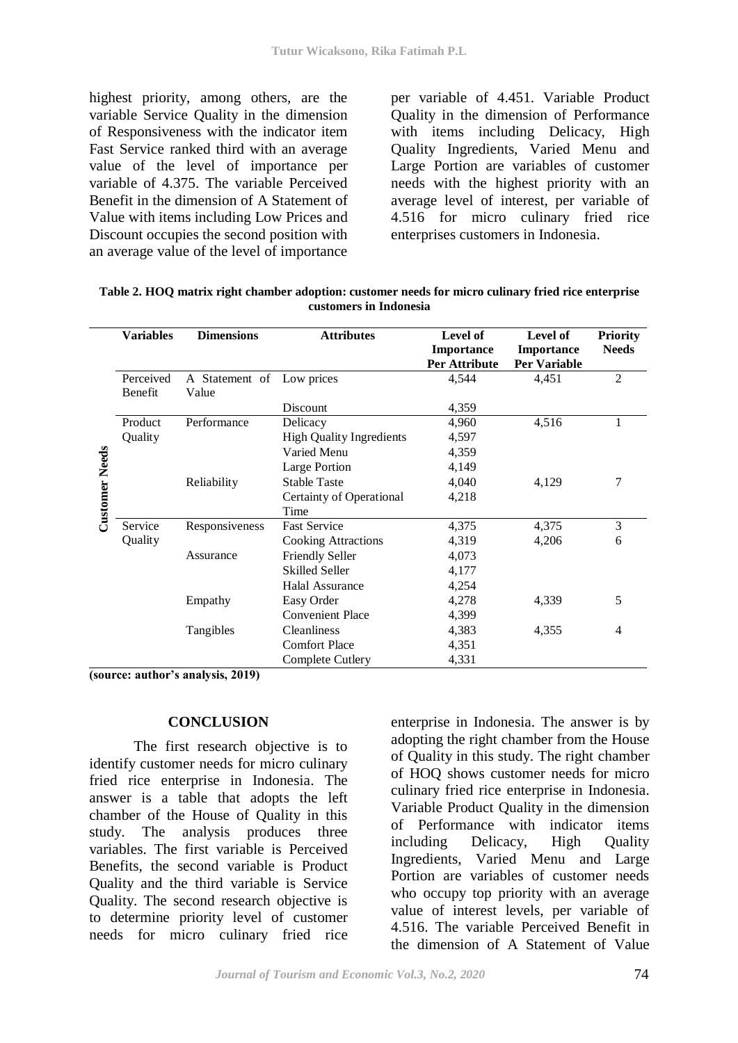highest priority, among others, are the variable Service Quality in the dimension of Responsiveness with the indicator item Fast Service ranked third with an average value of the level of importance per variable of 4.375. The variable Perceived Benefit in the dimension of A Statement of Value with items including Low Prices and Discount occupies the second position with an average value of the level of importance

per variable of 4.451. Variable Product Quality in the dimension of Performance with items including Delicacy, High Quality Ingredients, Varied Menu and Large Portion are variables of customer needs with the highest priority with an average level of interest, per variable of 4.516 for micro culinary fried rice enterprises customers in Indonesia.

|                       | <b>Variables</b> | <b>Dimensions</b>         | <b>Attributes</b>               | Level of             | Level of            | <b>Priority</b> |
|-----------------------|------------------|---------------------------|---------------------------------|----------------------|---------------------|-----------------|
|                       |                  |                           |                                 | Importance           | Importance          | <b>Needs</b>    |
| <b>Customer Needs</b> |                  |                           |                                 | <b>Per Attribute</b> | <b>Per Variable</b> |                 |
|                       | Perceived        | A Statement of Low prices |                                 | 4,544                | 4,451               | 2               |
|                       | Benefit          | Value                     |                                 |                      |                     |                 |
|                       |                  |                           | Discount                        | 4,359                |                     |                 |
|                       | Product          | Performance               | Delicacy                        | 4,960                | 4,516               |                 |
|                       | Quality          |                           | <b>High Quality Ingredients</b> | 4,597                |                     |                 |
|                       |                  |                           | Varied Menu                     | 4,359                |                     |                 |
|                       |                  |                           | Large Portion                   | 4,149                |                     |                 |
|                       |                  | Reliability               | <b>Stable Taste</b>             | 4,040                | 4,129               | 7               |
|                       |                  |                           | Certainty of Operational        | 4,218                |                     |                 |
|                       |                  |                           | Time                            |                      |                     |                 |
|                       | Service          | Responsiveness            | <b>Fast Service</b>             | 4,375                | 4,375               | 3               |
|                       | Quality          |                           | <b>Cooking Attractions</b>      | 4,319                | 4,206               | 6               |
|                       |                  | Assurance                 | <b>Friendly Seller</b>          | 4,073                |                     |                 |
|                       |                  |                           | <b>Skilled Seller</b>           | 4,177                |                     |                 |
|                       |                  |                           | Halal Assurance                 | 4,254                |                     |                 |
|                       |                  | Empathy                   | Easy Order                      | 4,278                | 4,339               | 5               |
|                       |                  |                           | <b>Convenient Place</b>         | 4,399                |                     |                 |
|                       |                  | Tangibles                 | <b>Cleanliness</b>              | 4,383                | 4,355               | 4               |
|                       |                  |                           | <b>Comfort Place</b>            | 4,351                |                     |                 |
|                       |                  |                           | Complete Cutlery                | 4,331                |                     |                 |

**Table 2. HOQ matrix right chamber adoption: customer needs for micro culinary fried rice enterprise customers in Indonesia** 

**(source: author's analysis, 2019)** 

#### **CONCLUSION**

The first research objective is to identify customer needs for micro culinary fried rice enterprise in Indonesia. The answer is a table that adopts the left chamber of the House of Quality in this study. The analysis produces three variables. The first variable is Perceived Benefits, the second variable is Product Quality and the third variable is Service Quality. The second research objective is to determine priority level of customer needs for micro culinary fried rice

enterprise in Indonesia. The answer is by adopting the right chamber from the House of Quality in this study. The right chamber of HOQ shows customer needs for micro culinary fried rice enterprise in Indonesia. Variable Product Quality in the dimension of Performance with indicator items including Delicacy, High Quality Ingredients, Varied Menu and Large Portion are variables of customer needs who occupy top priority with an average value of interest levels, per variable of 4.516. The variable Perceived Benefit in the dimension of A Statement of Value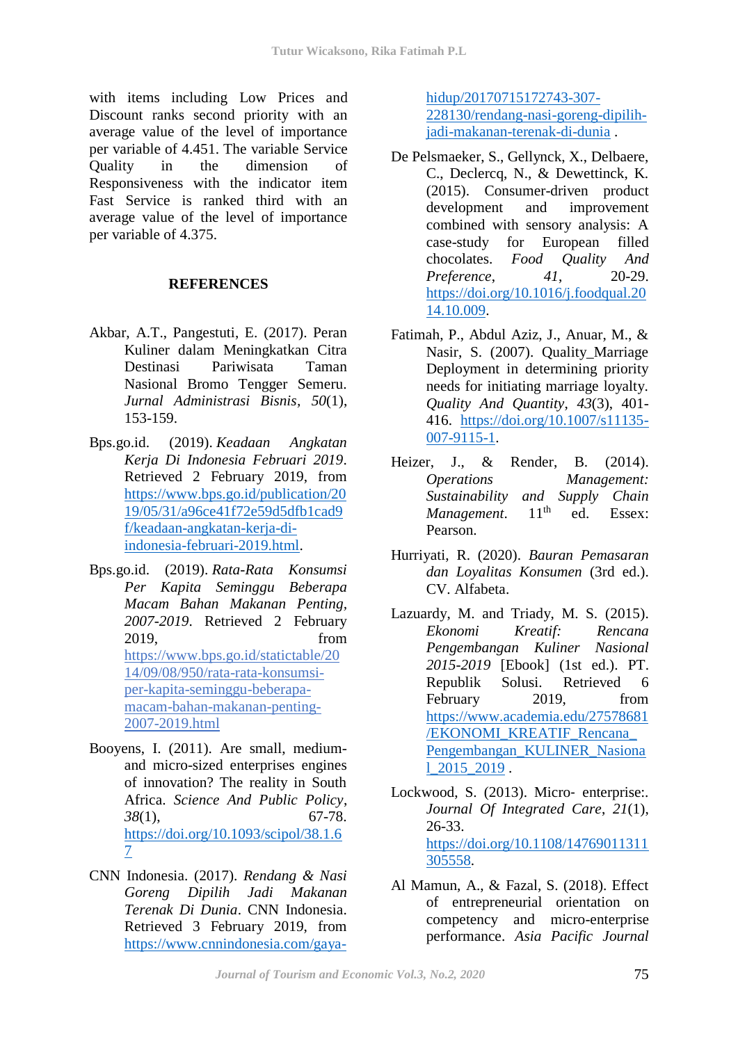with items including Low Prices and Discount ranks second priority with an average value of the level of importance per variable of 4.451. The variable Service Quality in the dimension of Responsiveness with the indicator item Fast Service is ranked third with an average value of the level of importance per variable of 4.375.

# **REFERENCES**

- Akbar, A.T., Pangestuti, E. (2017). Peran Kuliner dalam Meningkatkan Citra Destinasi Pariwisata Taman Nasional Bromo Tengger Semeru. *Jurnal Administrasi Bisnis, 50*(1), 153-159.
- Bps.go.id. (2019). *Keadaan Angkatan Kerja Di Indonesia Februari 2019*. Retrieved 2 February 2019, from [https://www.bps.go.id/publication/20](https://www.bps.go.id/publication/2019/05/31/a96ce41f72e59d5dfb1cad9f/keadaan-angkatan-kerja-di-indonesia-februari-2019.html) [19/05/31/a96ce41f72e59d5dfb1cad9](https://www.bps.go.id/publication/2019/05/31/a96ce41f72e59d5dfb1cad9f/keadaan-angkatan-kerja-di-indonesia-februari-2019.html) [f/keadaan-angkatan-kerja-di](https://www.bps.go.id/publication/2019/05/31/a96ce41f72e59d5dfb1cad9f/keadaan-angkatan-kerja-di-indonesia-februari-2019.html)[indonesia-februari-2019.html.](https://www.bps.go.id/publication/2019/05/31/a96ce41f72e59d5dfb1cad9f/keadaan-angkatan-kerja-di-indonesia-februari-2019.html)
- Bps.go.id. (2019). *Rata-Rata Konsumsi Per Kapita Seminggu Beberapa Macam Bahan Makanan Penting, 2007-2019*. Retrieved 2 February 2019, from https://www.bps.go.id/statictable/20 14/09/08/950/rata-rata-konsumsiper-kapita-seminggu-beberapamacam-bahan-makanan-penting-2007-2019.html
- Booyens, I. (2011). Are small, mediumand micro-sized enterprises engines of innovation? The reality in South Africa. *Science And Public Policy*, *38*(1), 67-78. [https://doi.org/10.1093/scipol/38.1.6](https://doi.org/10.1093/scipol/38.1.67) [7](https://doi.org/10.1093/scipol/38.1.67)
- CNN Indonesia. (2017). *Rendang & Nasi Goreng Dipilih Jadi Makanan Terenak Di Dunia*. CNN Indonesia. Retrieved 3 February 2019, from [https://www.cnnindonesia.com/gaya-](https://www.cnnindonesia.com/gaya-hidup/20170715172743-307-228130/rendang-nasi-goreng-dipilih-jadi-makanan-terenak-di-dunia)

[hidup/20170715172743-307-](https://www.cnnindonesia.com/gaya-hidup/20170715172743-307-228130/rendang-nasi-goreng-dipilih-jadi-makanan-terenak-di-dunia) [228130/rendang-nasi-goreng-dipilih](https://www.cnnindonesia.com/gaya-hidup/20170715172743-307-228130/rendang-nasi-goreng-dipilih-jadi-makanan-terenak-di-dunia)[jadi-makanan-terenak-di-dunia](https://www.cnnindonesia.com/gaya-hidup/20170715172743-307-228130/rendang-nasi-goreng-dipilih-jadi-makanan-terenak-di-dunia) .

- De Pelsmaeker, S., Gellynck, X., Delbaere, C., Declercq, N., & Dewettinck, K. (2015). Consumer-driven product development and improvement combined with sensory analysis: A case-study for European filled chocolates. *Food Quality And Preference*, *41*, 20-29. [https://doi.org/10.1016/j.foodqual.20](https://doi.org/10.1016/j.foodqual.2014.10.009) [14.10.009.](https://doi.org/10.1016/j.foodqual.2014.10.009)
- Fatimah, P., Abdul Aziz, J., Anuar, M., & Nasir, S. (2007). Quality\_Marriage Deployment in determining priority needs for initiating marriage loyalty. *Quality And Quantity*, *43*(3), 401- 416. [https://doi.org/10.1007/s11135-](https://doi.org/10.1007/s11135-007-9115-1) [007-9115-1.](https://doi.org/10.1007/s11135-007-9115-1)
- Heizer, J., & Render, B. (2014). *Operations Management: Sustainability and Supply Chain Management*. 11<sup>th</sup> ed. Essex: Pearson.
- Hurriyati, R. (2020). *Bauran Pemasaran dan Loyalitas Konsumen* (3rd ed.). CV. Alfabeta.
- Lazuardy, M. and Triady, M. S. (2015). *Ekonomi Kreatif: Rencana Pengembangan Kuliner Nasional 2015-2019* [Ebook] (1st ed.). PT. Republik Solusi. Retrieved 6 February 2019, from [https://www.academia.edu/27578681](https://www.academia.edu/27578681/EKONOMI_KREATIF_Rencana_%20Pengembangan_KULINER_Nasional_2015_2019) [/EKONOMI\\_KREATIF\\_Rencana\\_](https://www.academia.edu/27578681/EKONOMI_KREATIF_Rencana_%20Pengembangan_KULINER_Nasional_2015_2019) [Pengembangan\\_KULINER\\_Nasiona](https://www.academia.edu/27578681/EKONOMI_KREATIF_Rencana_%20Pengembangan_KULINER_Nasional_2015_2019) [l\\_2015\\_2019](https://www.academia.edu/27578681/EKONOMI_KREATIF_Rencana_%20Pengembangan_KULINER_Nasional_2015_2019) .
- Lockwood, S. (2013). Micro‐ enterprise:. *Journal Of Integrated Care*, *21*(1), 26-33. [https://doi.org/10.1108/14769011311](https://doi.org/10.1108/14769011311305558) [305558.](https://doi.org/10.1108/14769011311305558)
- Al Mamun, A., & Fazal, S. (2018). Effect of entrepreneurial orientation on competency and micro-enterprise performance. *Asia Pacific Journal*